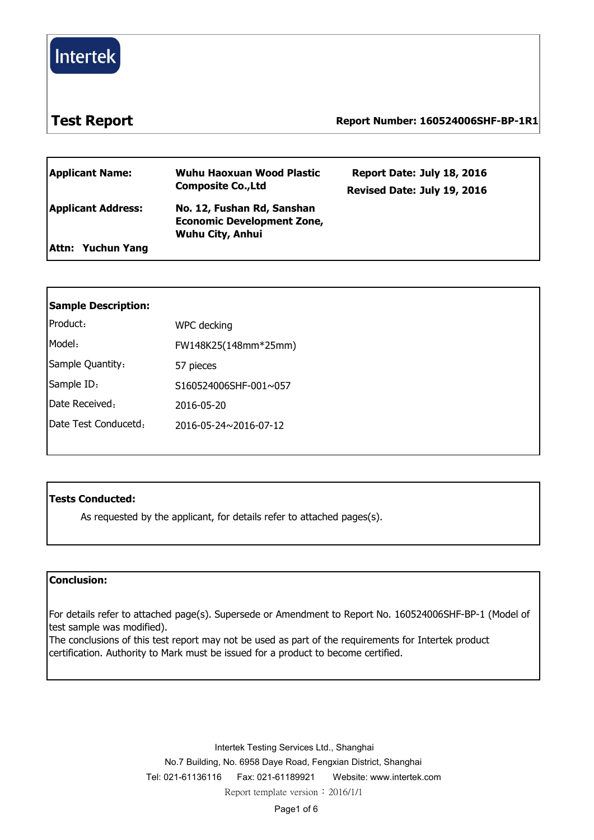

### **Test Report Report Number: 160524006SHF-BP-1R1**

| <b>Applicant Name:</b>    | Wuhu Haoxuan Wood Plastic<br><b>Composite Co., Ltd</b>                              | Report Date: July 18, 2016<br>Revised Date: July 19, 2016 |  |
|---------------------------|-------------------------------------------------------------------------------------|-----------------------------------------------------------|--|
| <b>Applicant Address:</b> | No. 12, Fushan Rd, Sanshan<br><b>Economic Development Zone,</b><br>Wuhu City, Anhui |                                                           |  |
| Attn: Yuchun Yang         |                                                                                     |                                                           |  |

| <b>Sample Description:</b> |                       |
|----------------------------|-----------------------|
| Product:                   | WPC decking           |
| Model:                     | FW148K25(148mm*25mm)  |
| Sample Quantity:           | 57 pieces             |
| Sample ID:                 | S160524006SHF-001~057 |
| Date Received:             | 2016-05-20            |
| Date Test Conducetd:       | 2016-05-24~2016-07-12 |
|                            |                       |

### **Tests Conducted:**

As requested by the applicant, for details refer to attached pages(s).

### **Conclusion:**

For details refer to attached page(s). Supersede or Amendment to Report No. 160524006SHF-BP-1 (Model of test sample was modified).

The conclusions of this test report may not be used as part of the requirements for Intertek product certification. Authority to Mark must be issued for a product to become certified.

> Intertek Testing Services Ltd., Shanghai No.7 Building, No. 6958 Daye Road, Fengxian District, Shanghai Tel: 021-61136116 Fax: 021-61189921 Website: [www.intertek.com](http://www.intertek.com/) Report template version: 2016/1/1

> > Page1 of 6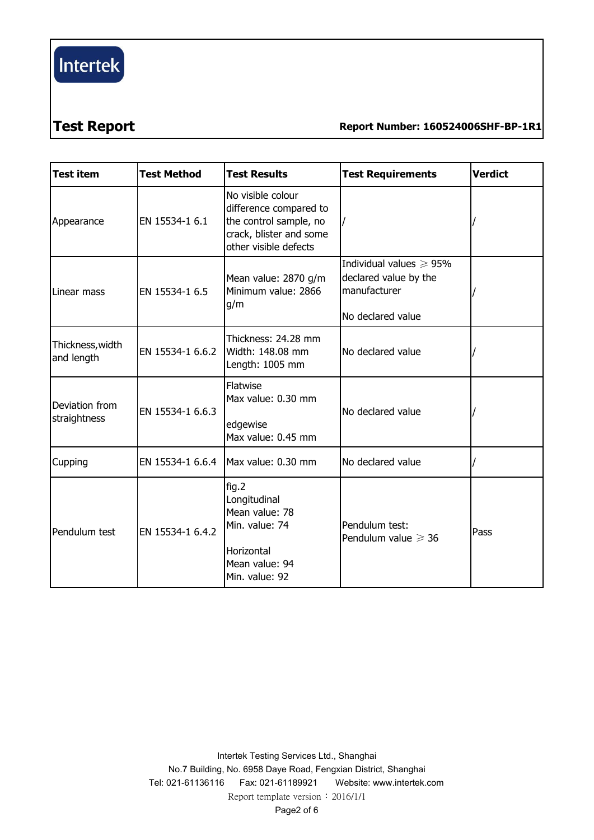# $[$  Intertek $]$

## **Test Report Report Number: 160524006SHF-BP-1R1**

| Test item                      | <b>Test Method</b> | <b>Test Results</b>                                                                                                       | <b>Test Requirements</b>                                                                    | <b>Verdict</b> |
|--------------------------------|--------------------|---------------------------------------------------------------------------------------------------------------------------|---------------------------------------------------------------------------------------------|----------------|
| Appearance                     | EN 15534-1 6.1     | No visible colour<br>difference compared to<br>the control sample, no<br>crack, blister and some<br>other visible defects |                                                                                             |                |
| Linear mass                    | EN 15534-1 6.5     | Mean value: 2870 g/m<br>Minimum value: 2866<br>g/m                                                                        | Individual values $\geq 95\%$<br>declared value by the<br>manufacturer<br>No declared value |                |
| Thickness, width<br>and length | EN 15534-1 6.6.2   | Thickness: 24.28 mm<br>Width: 148.08 mm<br>Length: 1005 mm                                                                | No declared value                                                                           |                |
| Deviation from<br>straightness | EN 15534-1 6.6.3   | Flatwise<br>Max value: 0.30 mm<br>edgewise<br>Max value: 0.45 mm                                                          | No declared value                                                                           |                |
| Cupping                        | EN 15534-1 6.6.4   | Max value: 0.30 mm                                                                                                        | No declared value                                                                           |                |
| Pendulum test                  | EN 15534-1 6.4.2   | fig.2<br>Longitudinal<br>Mean value: 78<br>Min. value: 74<br>Horizontal<br>Mean value: 94<br>Min. value: 92               | Pendulum test:<br>Pendulum value $\geq 36$                                                  | Pass           |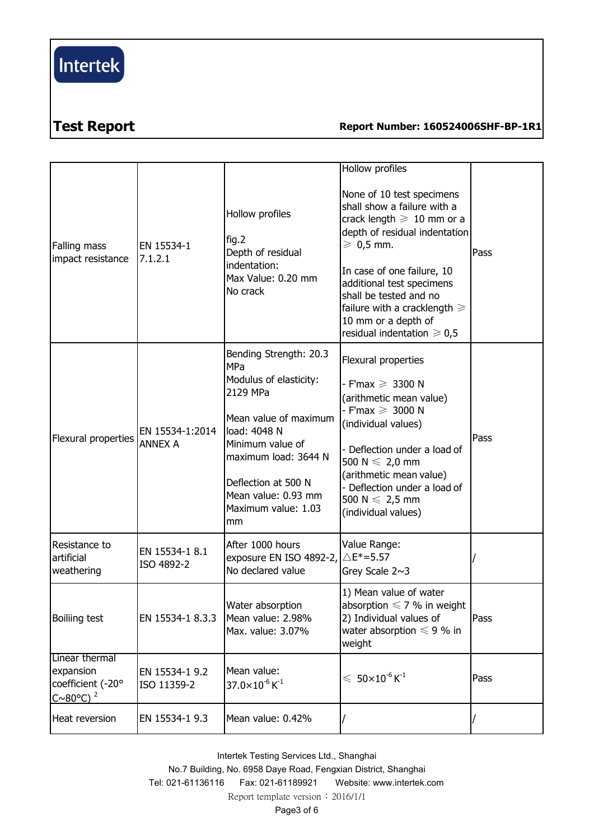# Intertek

## **Test Report Report Number: 160524006SHF-BP-1R1**

| Falling mass<br>impact resistance                                           | EN 15534-1<br>7.1.2.1             | Hollow profiles<br>fig.2<br>Depth of residual<br>indentation:<br>Max Value: 0.20 mm<br>No crack                                                                                                                                     | Hollow profiles<br>None of 10 test specimens<br>shall show a failure with a<br>crack length $\geq 10$ mm or a<br>depth of residual indentation<br>$\geqslant$ 0,5 mm.<br>In case of one failure, 10<br>additional test specimens<br>shall be tested and no<br>failure with a cracklength $\geq$<br>10 mm or a depth of<br>residual indentation $\geq 0.5$ | Pass |
|-----------------------------------------------------------------------------|-----------------------------------|-------------------------------------------------------------------------------------------------------------------------------------------------------------------------------------------------------------------------------------|-----------------------------------------------------------------------------------------------------------------------------------------------------------------------------------------------------------------------------------------------------------------------------------------------------------------------------------------------------------|------|
| Flexural properties                                                         | EN 15534-1:2014<br><b>ANNEX A</b> | Bending Strength: 20.3<br>MPa<br>Modulus of elasticity:<br>2129 MPa<br>Mean value of maximum<br>load: 4048 N<br>Minimum value of<br>maximum load: 3644 N<br>Deflection at 500 N<br>Mean value: 0.93 mm<br>Maximum value: 1.03<br>mm | Flexural properties<br>F'max $\geqslant$ 3300 N<br>(arithmetic mean value)<br>- F'max $\geqslant$ 3000 N<br>(individual values)<br>Deflection under a load of<br>500 N $\leqslant$ 2,0 mm<br>(arithmetic mean value)<br>Deflection under a load of<br>500 N $\leq 2,5$ mm<br>(individual values)                                                          | Pass |
| Resistance to<br>artificial<br>weathering                                   | EN 15534-1 8.1<br>ISO 4892-2      | After 1000 hours<br>exposure EN ISO 4892-2, $\triangle E^*=5.57$<br>No declared value                                                                                                                                               | Value Range:<br>Grey Scale $2~3$                                                                                                                                                                                                                                                                                                                          |      |
| Boiliing test                                                               | EN 15534-1 8.3.3                  | Water absorption<br>Mean value: 2.98%<br>Max. value: 3.07%                                                                                                                                                                          | 1) Mean value of water<br>absorption $\leq 7$ % in weight<br>2) Individual values of<br>water absorption $\leq 9$ % in<br>weight                                                                                                                                                                                                                          | Pass |
| Linear thermal<br>expansion<br>coefficient (-20°<br>$C~80°C$ ) <sup>2</sup> | EN 15534-1 9.2<br>ISO 11359-2     | Mean value:<br>$37.0\times10^{-6}$ K <sup>-1</sup>                                                                                                                                                                                  | $\leqslant 50\times10^{\text{-}6}\,\text{K}^{\text{-}1}$                                                                                                                                                                                                                                                                                                  | Pass |
| Heat reversion                                                              | EN 15534-1 9.3                    | Mean value: 0.42%                                                                                                                                                                                                                   |                                                                                                                                                                                                                                                                                                                                                           |      |

Intertek Testing Services Ltd., Shanghai No.7 Building, No. 6958 Daye Road, Fengxian District, Shanghai Tel: 021-61136116 Fax: 021-61189921 Website: [www.intertek.com](http://www.intertek.com/) Report template version: 2016/1/1 Page3 of 6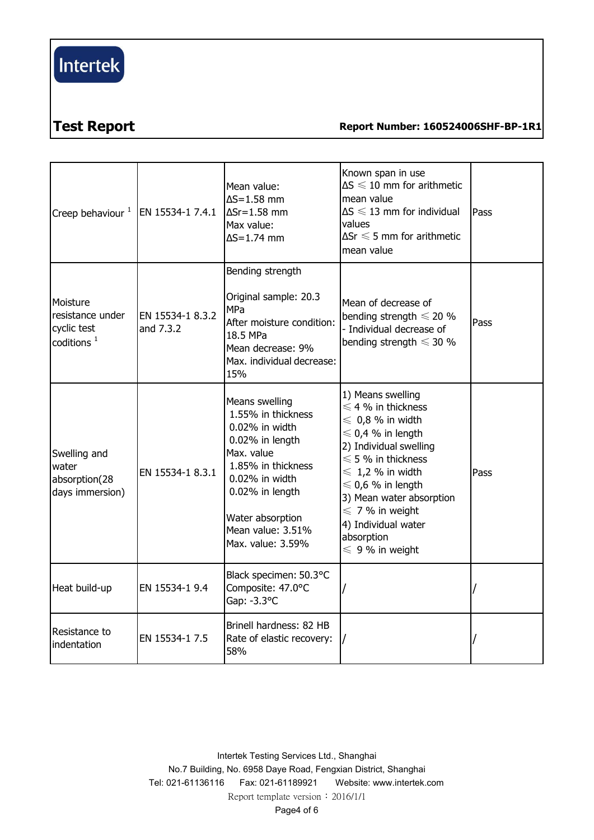# $[$  Intertek $]$

### **Test Report Report Number: 160524006SHF-BP-1R1**

| Creep behaviour $^1$  EN 15534-1 7.4.1                                |                               | Mean value:<br>$\Delta S = 1.58$ mm<br>$\Delta Sr = 1.58$ mm<br>Max value:<br>$\Delta S = 1.74$ mm                                                                                                               | Known span in use<br>$\Delta S \leq 10$ mm for arithmetic<br>mean value<br>$\Delta S \leq 13$ mm for individual<br>values<br>$\Delta$ Sr $\leqslant$ 5 mm for arithmetic<br>mean value                                                                                                                                                  | Pass |  |
|-----------------------------------------------------------------------|-------------------------------|------------------------------------------------------------------------------------------------------------------------------------------------------------------------------------------------------------------|-----------------------------------------------------------------------------------------------------------------------------------------------------------------------------------------------------------------------------------------------------------------------------------------------------------------------------------------|------|--|
| Moisture<br>resistance under<br>cyclic test<br>coditions <sup>1</sup> | EN 15534-1 8.3.2<br>and 7.3.2 | Bending strength<br>Original sample: 20.3<br><b>MPa</b><br>After moisture condition:<br>18.5 MPa<br>Mean decrease: 9%<br>Max. individual decrease:<br>15%                                                        | Mean of decrease of<br>bending strength $\leq 20$ %<br>- Individual decrease of<br>bending strength $\leq 30$ %                                                                                                                                                                                                                         | Pass |  |
| Swelling and<br>water<br>absorption(28<br>days immersion)             | EN 15534-1 8.3.1              | Means swelling<br>1.55% in thickness<br>0.02% in width<br>0.02% in length<br>Max. value<br>1.85% in thickness<br>0.02% in width<br>0.02% in length<br>Water absorption<br>Mean value: 3.51%<br>Max. value: 3.59% | 1) Means swelling<br>$\leq 4$ % in thickness<br>$\leqslant$ 0,8 % in width<br>$\leq 0.4$ % in length<br>2) Individual swelling<br>$\leqslant$ 5 % in thickness<br>$\leq 1.2$ % in width<br>$\leq 0.6$ % in length<br>3) Mean water absorption<br>$\leq 7$ % in weight<br>4) Individual water<br>absorption<br>$\leqslant$ 9 % in weight | Pass |  |
| Heat build-up                                                         | EN 15534-1 9.4                | Black specimen: 50.3°C<br>Composite: 47.0°C<br>Gap: -3.3°C                                                                                                                                                       |                                                                                                                                                                                                                                                                                                                                         |      |  |
| Resistance to<br>indentation                                          | EN 15534-1 7.5                | Brinell hardness: 82 HB<br>Rate of elastic recovery:<br>58%                                                                                                                                                      |                                                                                                                                                                                                                                                                                                                                         |      |  |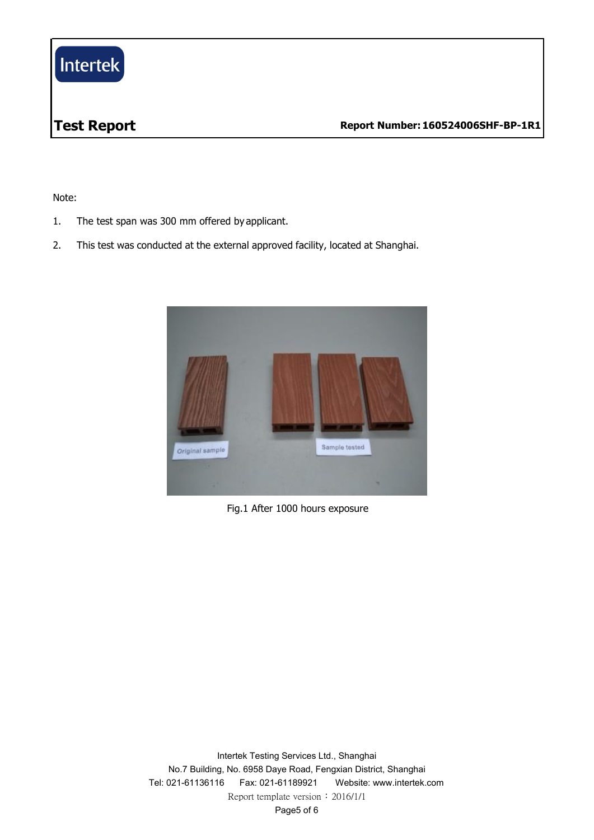

Note:

- 1. The test span was 300 mm offered by applicant.
- 2. This test was conducted at the external approved facility, located at Shanghai.



Fig.1 After 1000 hours exposure